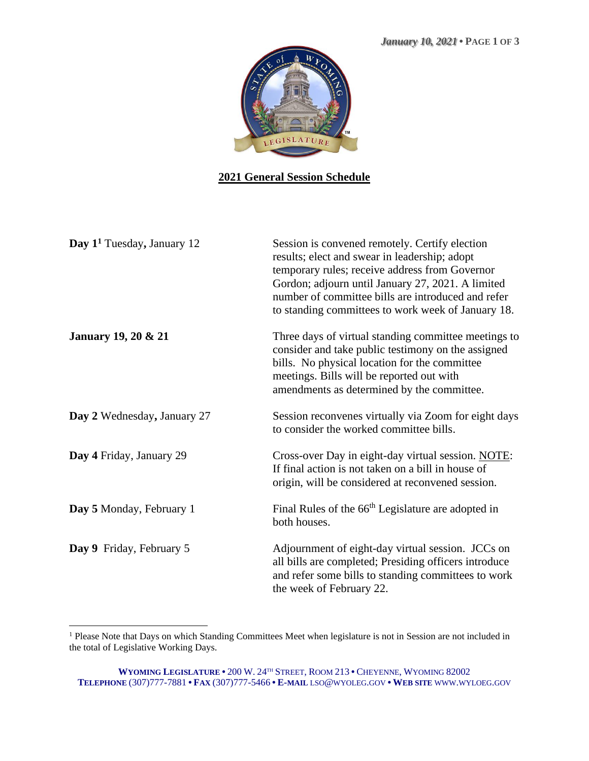

## **2021 General Session Schedule**

| Day 1 <sup>1</sup> Tuesday, January 12 | Session is convened remotely. Certify election<br>results; elect and swear in leadership; adopt<br>temporary rules; receive address from Governor<br>Gordon; adjourn until January 27, 2021. A limited<br>number of committee bills are introduced and refer<br>to standing committees to work week of January 18. |
|----------------------------------------|--------------------------------------------------------------------------------------------------------------------------------------------------------------------------------------------------------------------------------------------------------------------------------------------------------------------|
| <b>January 19, 20 &amp; 21</b>         | Three days of virtual standing committee meetings to<br>consider and take public testimony on the assigned<br>bills. No physical location for the committee<br>meetings. Bills will be reported out with<br>amendments as determined by the committee.                                                             |
| Day 2 Wednesday, January 27            | Session reconvenes virtually via Zoom for eight days<br>to consider the worked committee bills.                                                                                                                                                                                                                    |
| Day 4 Friday, January 29               | Cross-over Day in eight-day virtual session. NOTE:<br>If final action is not taken on a bill in house of<br>origin, will be considered at reconvened session.                                                                                                                                                      |
| Day 5 Monday, February 1               | Final Rules of the 66 <sup>th</sup> Legislature are adopted in<br>both houses.                                                                                                                                                                                                                                     |
| Day 9 Friday, February 5               | Adjournment of eight-day virtual session. JCCs on<br>all bills are completed; Presiding officers introduce<br>and refer some bills to standing committees to work<br>the week of February 22.                                                                                                                      |

<sup>&</sup>lt;sup>1</sup> Please Note that Days on which Standing Committees Meet when legislature is not in Session are not included in the total of Legislative Working Days.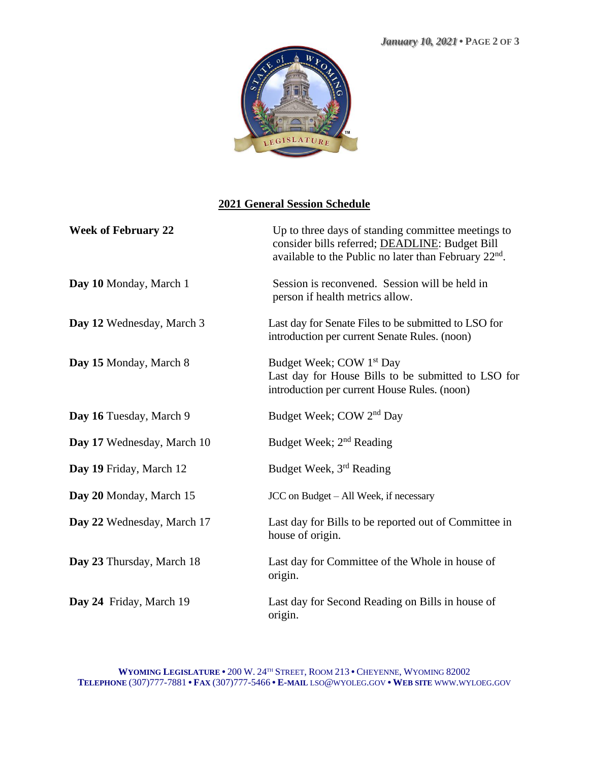

## **2021 General Session Schedule**

| <b>Week of February 22</b> | Up to three days of standing committee meetings to<br>consider bills referred; DEADLINE: Budget Bill<br>available to the Public no later than February $22nd$ . |
|----------------------------|-----------------------------------------------------------------------------------------------------------------------------------------------------------------|
| Day 10 Monday, March 1     | Session is reconvened. Session will be held in<br>person if health metrics allow.                                                                               |
| Day 12 Wednesday, March 3  | Last day for Senate Files to be submitted to LSO for<br>introduction per current Senate Rules. (noon)                                                           |
| Day 15 Monday, March 8     | Budget Week; COW 1 <sup>st</sup> Day<br>Last day for House Bills to be submitted to LSO for<br>introduction per current House Rules. (noon)                     |
| Day 16 Tuesday, March 9    | Budget Week; COW 2 <sup>nd</sup> Day                                                                                                                            |
| Day 17 Wednesday, March 10 | Budget Week; 2 <sup>nd</sup> Reading                                                                                                                            |
| Day 19 Friday, March 12    | Budget Week, 3rd Reading                                                                                                                                        |
| Day 20 Monday, March 15    | JCC on Budget - All Week, if necessary                                                                                                                          |
| Day 22 Wednesday, March 17 | Last day for Bills to be reported out of Committee in<br>house of origin.                                                                                       |
| Day 23 Thursday, March 18  | Last day for Committee of the Whole in house of<br>origin.                                                                                                      |
| Day 24 Friday, March 19    | Last day for Second Reading on Bills in house of<br>origin.                                                                                                     |